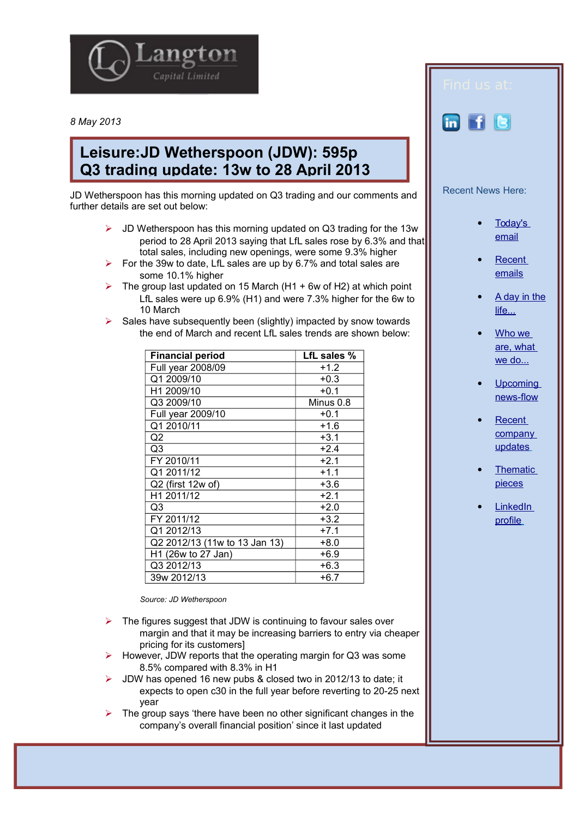

*8 May 2013*

## **Leisure:JD Wetherspoon (JDW): 595p Q3 trading update: 13w to 28 April 2013**

JD Wetherspoon has this morning updated on Q3 trading and our comments and further details are set out below:

- $\triangleright$  JD Wetherspoon has this morning updated on Q3 trading for the 13w period to 28 April 2013 saying that LfL sales rose by 6.3% and that total sales, including new openings, were some 9.3% higher
- $\triangleright$  For the 39w to date, LfL sales are up by 6.7% and total sales are some 10.1% higher
- The group last updated on 15 March (H1 + 6w of H2) at which point LfL sales were up 6.9% (H1) and were 7.3% higher for the 6w to 10 March
- $\triangleright$  Sales have subsequently been (slightly) impacted by snow towards the end of March and recent LfL sales trends are shown below:

| <b>Financial period</b>       | LfL sales % |
|-------------------------------|-------------|
| Full year 2008/09             | $+1.2$      |
| Q1 2009/10                    | $+0.3$      |
| H1 2009/10                    | $+0.1$      |
| Q3 2009/10                    | Minus 0.8   |
| Full year 2009/10             | $+0.1$      |
| Q1 2010/11                    | $+1.6$      |
| Q2                            | $+3.1$      |
| Q3                            | $+2.4$      |
| FY 2010/11                    | $+2.1$      |
| Q1 2011/12                    | $+1.1$      |
| Q2 (first 12w of)             | $+3.6$      |
| H1 2011/12                    | $+2.1$      |
| Q3                            | $+2.0$      |
| FY 2011/12                    | $+3.2$      |
| Q1 2012/13                    | $+7.1$      |
| Q2 2012/13 (11w to 13 Jan 13) | $+8.0$      |
| H1 (26w to 27 Jan)            | $+6.9$      |
| Q3 2012/13                    | $+6.3$      |
| 39w 2012/13                   | $+6.7$      |

*Source: JD Wetherspoon* 

- $\triangleright$  The figures suggest that JDW is continuing to favour sales over margin and that it may be increasing barriers to entry via cheaper pricing for its customers]
- However, JDW reports that the operating margin for Q3 was some 8.5% compared with 8.3% in H1
- JDW has opened 16 new pubs & closed two in 2012/13 to date; it expects to open c30 in the full year before reverting to 20-25 next year
- The group says 'there have been no other significant changes in the company's overall financial position' since it last updated